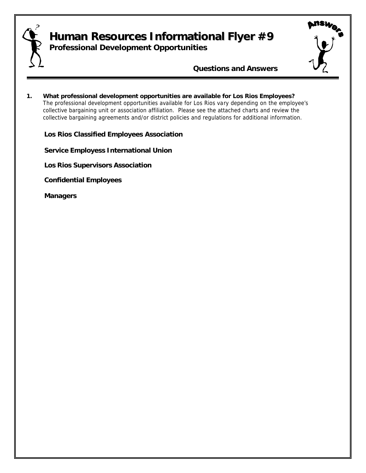<span id="page-0-0"></span>

# **Human Resources Informational Flyer #9**

**Professional Development Opportunities**



*Questions and Answers*

**1. What professional development opportunities are available for Los Rios Employees?** The professional development opportunities available for Los Rios vary depending on the employee's collective bargaining unit or association affiliation. Please see the attached charts and review the collective bargaining agreements and/or district policies and regulations for additional information.

**[Los Rios Classified Employees Association](#page-1-0)**

 **[Service Employess International Union](#page-3-0) [Los Rios Supervisors Association](#page-4-0) [Confidential Employees](#page-6-0)**

 **[Managers](#page-7-0)**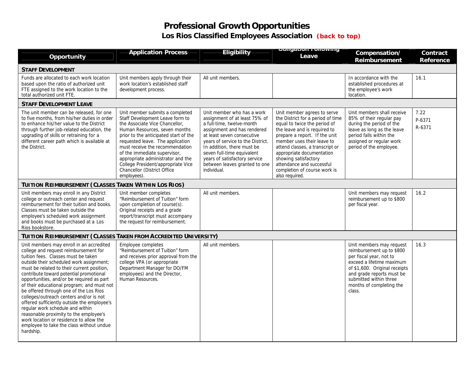## **Professional Growth Opportunities Los Rios Classified Employees Association** *[\(back to top\)](#page-0-0)*

<span id="page-1-0"></span>

| Opportunity                                                                                                                                                                                                                                                                                                                                                                                                                                                                                                                                                                                                                                                                    | <b>Application Process</b>                                                                                                                                                                                                                                                                                                                                                                                     | Eligibility                                                                                                                                                                                                                                                                                                                             | שטווען ו טווטשער וטוועט<br>Leave                                                                                                                                                                                                                                                                                                                                       | Compensation/<br><b>Reimbursement</b>                                                                                                                                                                                                       | Contract<br><b>Reference</b> |
|--------------------------------------------------------------------------------------------------------------------------------------------------------------------------------------------------------------------------------------------------------------------------------------------------------------------------------------------------------------------------------------------------------------------------------------------------------------------------------------------------------------------------------------------------------------------------------------------------------------------------------------------------------------------------------|----------------------------------------------------------------------------------------------------------------------------------------------------------------------------------------------------------------------------------------------------------------------------------------------------------------------------------------------------------------------------------------------------------------|-----------------------------------------------------------------------------------------------------------------------------------------------------------------------------------------------------------------------------------------------------------------------------------------------------------------------------------------|------------------------------------------------------------------------------------------------------------------------------------------------------------------------------------------------------------------------------------------------------------------------------------------------------------------------------------------------------------------------|---------------------------------------------------------------------------------------------------------------------------------------------------------------------------------------------------------------------------------------------|------------------------------|
| <b>STAFF DEVELOPMENT</b>                                                                                                                                                                                                                                                                                                                                                                                                                                                                                                                                                                                                                                                       |                                                                                                                                                                                                                                                                                                                                                                                                                |                                                                                                                                                                                                                                                                                                                                         |                                                                                                                                                                                                                                                                                                                                                                        |                                                                                                                                                                                                                                             |                              |
| Funds are allocated to each work location<br>based upon the ratio of authorized unit<br>FTE assigned to the work location to the<br>total authorized unit FTE.                                                                                                                                                                                                                                                                                                                                                                                                                                                                                                                 | Unit members apply through their<br>work location's established staff<br>development process.                                                                                                                                                                                                                                                                                                                  | All unit members.                                                                                                                                                                                                                                                                                                                       |                                                                                                                                                                                                                                                                                                                                                                        | In accordance with the<br>established procedures at<br>the employee's work<br>location.                                                                                                                                                     | 16.1                         |
| <b>STAFF DEVELOPMENT LEAVE</b>                                                                                                                                                                                                                                                                                                                                                                                                                                                                                                                                                                                                                                                 |                                                                                                                                                                                                                                                                                                                                                                                                                |                                                                                                                                                                                                                                                                                                                                         |                                                                                                                                                                                                                                                                                                                                                                        |                                                                                                                                                                                                                                             |                              |
| The unit member can be released, for one<br>to five months, from his/her duties in order<br>to enhance his/her value to the District<br>through further job-related education, the<br>upgrading of skills or retraining for a<br>different career path which is available at<br>the District.                                                                                                                                                                                                                                                                                                                                                                                  | Unit member submits a completed<br>Staff Development Leave form to<br>the Associate Vice Chancellor,<br>Human Resources, seven months<br>prior to the anticipated start of the<br>requested leave. The application<br>must receive the recommendation<br>of the immediate supervisor,<br>appropriate administrator and the<br>College President/appropriate Vice<br>Chancellor (District Office<br>employees). | Unit member who has a work<br>assignment of at least 75% of<br>a full-time, twelve-month<br>assignment and has rendered<br>at least seven consecutive<br>years of service to the District.<br>In addition, there must be<br>seven full-time equivalent<br>years of satisfactory service<br>between leaves granted to one<br>individual. | Unit member agrees to serve<br>the District for a period of time<br>equal to twice the period of<br>the leave and is required to<br>prepare a report. If the unit<br>member uses their leave to<br>attend classes, a transcript or<br>appropriate documentation<br>showing satisfactory<br>attendance and successful<br>completion of course work is<br>also required. | Unit members shall receive<br>85% of their regular pay<br>during the period of the<br>leave as long as the leave<br>period falls within the<br>assigned or regular work<br>period of the employee.                                          | 7.22<br>P-6371<br>R-6371     |
| TUITION REIMBURSEMENT (CLASSES TAKEN WITHIN LOS RIOS)                                                                                                                                                                                                                                                                                                                                                                                                                                                                                                                                                                                                                          |                                                                                                                                                                                                                                                                                                                                                                                                                |                                                                                                                                                                                                                                                                                                                                         |                                                                                                                                                                                                                                                                                                                                                                        |                                                                                                                                                                                                                                             |                              |
| Unit members may enroll in any District<br>college or outreach center and request<br>reimbursement for their tuition and books.<br>Classes must be taken outside the<br>employee's scheduled work assignment<br>and books must be purchased at a Los<br>Rios bookstore.                                                                                                                                                                                                                                                                                                                                                                                                        | Unit member completes<br>"Reimbursement of Tuition" form<br>upon completion of course(s).<br>Original receipts and a grade<br>report/transcript must accompany<br>the request for reimbursement.                                                                                                                                                                                                               | All unit members.                                                                                                                                                                                                                                                                                                                       |                                                                                                                                                                                                                                                                                                                                                                        | Unit members may request<br>reimbursement up to \$800<br>per fiscal year.                                                                                                                                                                   | 16.2                         |
| TUITION REIMBURSEMENT (CLASSES TAKEN FROM ACCREDITED UNIVERSITY)                                                                                                                                                                                                                                                                                                                                                                                                                                                                                                                                                                                                               |                                                                                                                                                                                                                                                                                                                                                                                                                |                                                                                                                                                                                                                                                                                                                                         |                                                                                                                                                                                                                                                                                                                                                                        |                                                                                                                                                                                                                                             |                              |
| Unit members may enroll in an accredited<br>college and request reimbursement for<br>tuition fees. Classes must be taken<br>outside their scheduled work assignment;<br>must be related to their current position,<br>contribute toward potential promotional<br>opportunities, and/or be required as part<br>of their educational program; and must not<br>be offered through one of the Los Rios<br>colleges/outreach centers and/or is not<br>offered sufficiently outside the employee's<br>regular work schedule and within<br>reasonable proximity to the employee's<br>work location or residence to allow the<br>employee to take the class without undue<br>hardship. | Employee completes<br>"Reimbursement of Tuition" form<br>and receives prior approval from the<br>college VPA (or appropriate<br>Department Manager for DO/FM<br>employees) and the Director,<br>Human Resources.                                                                                                                                                                                               | All unit members.                                                                                                                                                                                                                                                                                                                       |                                                                                                                                                                                                                                                                                                                                                                        | Unit members may request<br>reimbursement up to \$800<br>per fiscal year, not to<br>exceed a lifetime maximum<br>of \$1,600. Original receipts<br>and grade reports must be<br>submitted within three<br>months of completing the<br>class. | 16.3                         |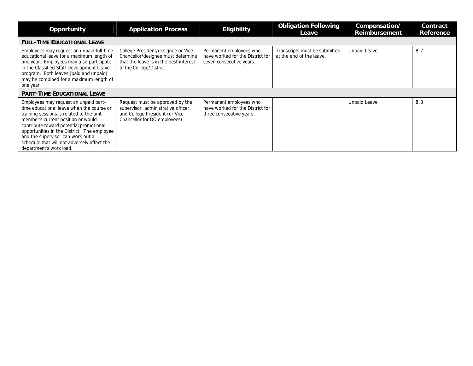| Opportunity                                                                                                                                                                                                                                                                                                                                                                   | <b>Application Process</b>                                                                                                                     | <b>Eligibility</b>                                                                      | <b>Obligation Following</b><br>Leave                      | Compensation/<br>Reimbursement | Contract<br>Reference |
|-------------------------------------------------------------------------------------------------------------------------------------------------------------------------------------------------------------------------------------------------------------------------------------------------------------------------------------------------------------------------------|------------------------------------------------------------------------------------------------------------------------------------------------|-----------------------------------------------------------------------------------------|-----------------------------------------------------------|--------------------------------|-----------------------|
| <b>FULL-TIME EDUCATIONAL LEAVE</b>                                                                                                                                                                                                                                                                                                                                            |                                                                                                                                                |                                                                                         |                                                           |                                |                       |
| Employees may request an unpaid full-time<br>educational leave for a maximum length of<br>one year. Employees may also participate<br>in the Classified Staff Development Leave<br>program. Both leaves (paid and unpaid)<br>may be combined for a maximum length of<br>one year.                                                                                             | College President/designee or Vice<br>Chancellor/designee must determine<br>that the leave is in the best interest<br>of the College/District. | Permanent employees who<br>have worked for the District for<br>seven consecutive years. | Transcripts must be submitted<br>at the end of the leave. | <b>Unpaid Leave</b>            | 8.7                   |
| <b>PART-TIME EDUCATIONAL LEAVE</b>                                                                                                                                                                                                                                                                                                                                            |                                                                                                                                                |                                                                                         |                                                           |                                |                       |
| Employees may request an unpaid part-<br>time educational leave when the course or<br>training sessions is related to the unit<br>member's current position or would<br>contribute toward potential promotional<br>opportunities in the District. The employee<br>and the supervisor can work out a<br>schedule that will not adversely affect the<br>department's work load. | Request must be approved by the<br>supervisor, administrative officer,<br>and College President (or Vice<br>Chancellor for DO employees).      | Permanent employees who<br>have worked for the District for<br>three consecutive years. |                                                           | <b>Unpaid Leave</b>            | 8.8                   |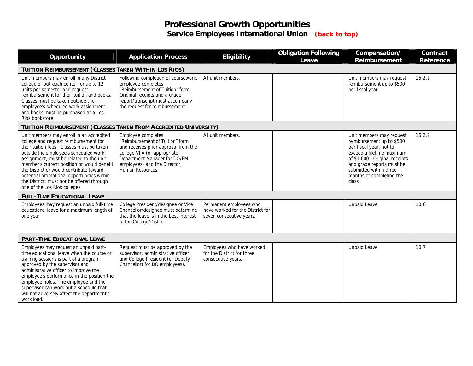## **Professional Growth Opportunities Service Employees International Union** *[\(back to top\)](#page-0-0)*

<span id="page-3-0"></span>

| Opportunity                                                                                                                                                                                                                                                                                                                                                                                                                             | <b>Application Process</b>                                                                                                                                                                                       | <b>Eligibility</b>                                                                      | <b>Obligation Following</b><br>Leave | Compensation/<br><b>Reimbursement</b>                                                                                                                                                                                                       | Contract<br>Reference |  |
|-----------------------------------------------------------------------------------------------------------------------------------------------------------------------------------------------------------------------------------------------------------------------------------------------------------------------------------------------------------------------------------------------------------------------------------------|------------------------------------------------------------------------------------------------------------------------------------------------------------------------------------------------------------------|-----------------------------------------------------------------------------------------|--------------------------------------|---------------------------------------------------------------------------------------------------------------------------------------------------------------------------------------------------------------------------------------------|-----------------------|--|
| TUITION REIMBURSEMENT (CLASSES TAKEN WITHIN LOS RIOS)                                                                                                                                                                                                                                                                                                                                                                                   |                                                                                                                                                                                                                  |                                                                                         |                                      |                                                                                                                                                                                                                                             |                       |  |
| Unit members may enroll in any District<br>college or outreach center for up to 12<br>units per semester and request<br>reimbursement for their tuition and books.<br>Classes must be taken outside the<br>employee's scheduled work assignment<br>and books must be purchased at a Los<br>Rios bookstore.                                                                                                                              | Following completion of coursework,<br>employee completes<br>"Reimbursement of Tuition" form.<br>Original receipts and a grade<br>report/transcript must accompany<br>the request for reimbursement.             | All unit members.                                                                       |                                      | Unit members may request<br>reimbursement up to \$500<br>per fiscal year.                                                                                                                                                                   | 16.2.1                |  |
| TUITION REIMBURSEMENT (CLASSES TAKEN FROM ACCREDITED UNIVERSITY)                                                                                                                                                                                                                                                                                                                                                                        |                                                                                                                                                                                                                  |                                                                                         |                                      |                                                                                                                                                                                                                                             |                       |  |
| Unit members may enroll in an accredited<br>college and request reimbursement for<br>their tuition fees. Classes must be taken<br>outside the employee's scheduled work<br>assignment; must be related to the unit<br>member's current position or would benefit<br>the District or would contribute toward<br>potential promotional opportunities within<br>the District; must not be offered through<br>one of the Los Rios colleges. | Employee completes<br>"Reimbursement of Tuition" form<br>and receives prior approval from the<br>college VPA (or appropriate<br>Department Manager for DO/FM<br>employees) and the Director,<br>Human Resources. | All unit members.                                                                       |                                      | Unit members may request<br>reimbursement up to \$500<br>per fiscal year, not to<br>exceed a lifetime maximum<br>of \$1,000. Original receipts<br>and grade reports must be<br>submitted within three<br>months of completing the<br>class. | 16.2.2                |  |
| <b>FULL-TIME EDUCATIONAL LEAVE</b>                                                                                                                                                                                                                                                                                                                                                                                                      |                                                                                                                                                                                                                  |                                                                                         |                                      |                                                                                                                                                                                                                                             |                       |  |
| Employees may request an unpaid full-time<br>educational leave for a maximum length of<br>one year.                                                                                                                                                                                                                                                                                                                                     | College President/designee or Vice<br>Chancellor/designee must determine<br>that the leave is in the best interest<br>of the College/District.                                                                   | Permanent employees who<br>have worked for the District for<br>seven consecutive years. |                                      | <b>Unpaid Leave</b>                                                                                                                                                                                                                         | 10.6                  |  |
| <b>PART-TIME EDUCATIONAL LEAVE</b>                                                                                                                                                                                                                                                                                                                                                                                                      |                                                                                                                                                                                                                  |                                                                                         |                                      |                                                                                                                                                                                                                                             |                       |  |
| Employees may request an unpaid part-<br>time educational leave when the course or<br>training sessions is part of a program<br>approved by the supervisor and<br>administrative officer to improve the<br>employee's performance in the position the<br>employee holds. The employee and the<br>supervisor can work out a schedule that<br>will not adversely affect the department's<br>work load.                                    | Request must be approved by the<br>supervisor, administrative officer,<br>and College President (or Deputy<br>Chancellor) for DO employees).                                                                     | Employees who have worked<br>for the District for three<br>consecutive years.           |                                      | <b>Unpaid Leave</b>                                                                                                                                                                                                                         | 10.7                  |  |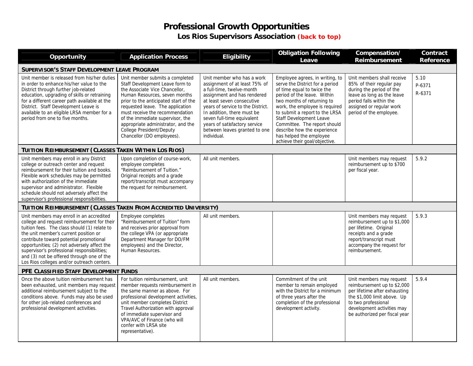#### **Professional Growth Opportunities Los Rios Supervisors Association** *[\(back to top\)](#page-0-0)*

<span id="page-4-0"></span>

| Opportunity                                                                                                                                                                                                                                                                                                                                                                                                          | <b>Application Process</b>                                                                                                                                                                                                                                                                                                                                                                       | Eligibility                                                                                                                                                                                                                                                                                                                             | <b>Obligation Following</b><br>Leave                                                                                                                                                                                                                                                                                                                                                    | Compensation/<br><b>Reimbursement</b>                                                                                                                                                                         | Contract<br><b>Reference</b> |  |  |
|----------------------------------------------------------------------------------------------------------------------------------------------------------------------------------------------------------------------------------------------------------------------------------------------------------------------------------------------------------------------------------------------------------------------|--------------------------------------------------------------------------------------------------------------------------------------------------------------------------------------------------------------------------------------------------------------------------------------------------------------------------------------------------------------------------------------------------|-----------------------------------------------------------------------------------------------------------------------------------------------------------------------------------------------------------------------------------------------------------------------------------------------------------------------------------------|-----------------------------------------------------------------------------------------------------------------------------------------------------------------------------------------------------------------------------------------------------------------------------------------------------------------------------------------------------------------------------------------|---------------------------------------------------------------------------------------------------------------------------------------------------------------------------------------------------------------|------------------------------|--|--|
| SUPERVISOR'S STAFF DEVELOPMENT LEAVE PROGRAM                                                                                                                                                                                                                                                                                                                                                                         |                                                                                                                                                                                                                                                                                                                                                                                                  |                                                                                                                                                                                                                                                                                                                                         |                                                                                                                                                                                                                                                                                                                                                                                         |                                                                                                                                                                                                               |                              |  |  |
| Unit member is released from his/her duties<br>in order to enhance his/her value to the<br>District through further job-related<br>education, upgrading of skills or retraining<br>for a different career path available at the<br>District. Staff Development Leave is<br>available to an eligible LRSA member for a<br>period from one to five months.                                                             | Unit member submits a completed<br>Staff Development Leave form to<br>the Associate Vice Chancellor.<br>Human Resources, seven months<br>prior to the anticipated start of the<br>requested leave. The application<br>must receive the recommendation<br>of the immediate supervisor, the<br>appropriate administrator, and the<br><b>College President/Deputy</b><br>Chancellor (DO employees). | Unit member who has a work<br>assignment of at least 75% of<br>a full-time, twelve-month<br>assignment and has rendered<br>at least seven consecutive<br>years of service to the District.<br>In addition, there must be<br>seven full-time equivalent<br>years of satisfactory service<br>between leaves granted to one<br>individual. | Employee agrees, in writing, to<br>serve the District for a period<br>of time equal to twice the<br>period of the leave. Within<br>two months of returning to<br>work, the employee is required<br>to submit a report to the LRSA<br>Staff Development Leave<br>Committee. The report should<br>describe how the experience<br>has helped the employee<br>achieve their goal/objective. | Unit members shall receive<br>85% of their regular pay<br>during the period of the<br>leave as long as the leave<br>period falls within the<br>assigned or regular work<br>period of the employee.            | 5.10<br>P-6371<br>R-6371     |  |  |
| TUITION REIMBURSEMENT (CLASSES TAKEN WITHIN LOS RIOS)                                                                                                                                                                                                                                                                                                                                                                |                                                                                                                                                                                                                                                                                                                                                                                                  |                                                                                                                                                                                                                                                                                                                                         |                                                                                                                                                                                                                                                                                                                                                                                         |                                                                                                                                                                                                               |                              |  |  |
| Unit members may enroll in any District<br>college or outreach center and request<br>reimbursement for their tuition and books.<br>Flexible work schedules may be permitted<br>with authorization of the immediate<br>supervisor and administrator. Flexible<br>schedule should not adversely affect the<br>supervisor's professional responsibilities.                                                              | Upon completion of course-work,<br>employee completes<br>"Reimbursement of Tuition."<br>Original receipts and a grade<br>report/transcript must accompany<br>the request for reimbursement.                                                                                                                                                                                                      | All unit members.                                                                                                                                                                                                                                                                                                                       |                                                                                                                                                                                                                                                                                                                                                                                         | Unit members may request<br>reimbursement up to \$700<br>per fiscal year.                                                                                                                                     | 5.9.2                        |  |  |
| TUITION REIMBURSEMENT (CLASSES TAKEN FROM ACCREDITED UNIVERSITY)                                                                                                                                                                                                                                                                                                                                                     |                                                                                                                                                                                                                                                                                                                                                                                                  |                                                                                                                                                                                                                                                                                                                                         |                                                                                                                                                                                                                                                                                                                                                                                         |                                                                                                                                                                                                               |                              |  |  |
| Unit members may enroll in an accredited<br>college and request reimbursement for their<br>tuition fees. The class should (1) relate to<br>the unit member's current position or<br>contribute toward potential promotional<br>opportunities; (2) not adversely affect the<br>supervisor's professional responsibilities;<br>and (3) not be offered through one of the<br>Los Rios colleges and/or outreach centers. | Employee completes<br>"Reimbursement of Tuition" form<br>and receives prior approval from<br>the college VPA (or appropriate<br>Department Manager for DO/FM<br>employees) and the Director,<br>Human Resources.                                                                                                                                                                                 | All unit members.                                                                                                                                                                                                                                                                                                                       |                                                                                                                                                                                                                                                                                                                                                                                         | Unit members may request<br>reimbursement up to \$1,000<br>per lifetime. Original<br>receipts and a grade<br>report/transcript must<br>accompany the request for<br>reimbursement.                            | 5.9.3                        |  |  |
| PFE CLASSIFIED STAFF DEVELOPMENT FUNDS                                                                                                                                                                                                                                                                                                                                                                               |                                                                                                                                                                                                                                                                                                                                                                                                  |                                                                                                                                                                                                                                                                                                                                         |                                                                                                                                                                                                                                                                                                                                                                                         |                                                                                                                                                                                                               |                              |  |  |
| Once the above tuition reimbursement has<br>been exhausted, unit members may request<br>additional reimbursement subject to the<br>conditions above. Funds may also be used<br>for other job-related conferences and<br>professional development activities.                                                                                                                                                         | For tuition reimbursement, unit<br>member requests reimbursement in<br>the same manner as above. For<br>professional development activities,<br>unit member completes District<br>Travel Authorization with approval<br>of immediate supervisor and<br>VPA/AVC of Finance (who will<br>confer with LRSA site<br>representative).                                                                 | All unit members.                                                                                                                                                                                                                                                                                                                       | Commitment of the unit<br>member to remain employed<br>with the District for a minimum<br>of three years after the<br>completion of the professional<br>development activity.                                                                                                                                                                                                           | Unit members may request<br>reimbursement up to \$2,000<br>per lifetime after exhausting<br>the \$1,000 limit above. Up<br>to two professional<br>development activities may<br>be authorized per fiscal year | 5.9.4                        |  |  |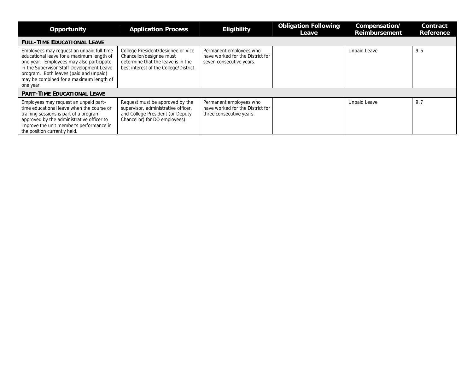| Opportunity                                                                                                                                                                                                                                                                       | <b>Application Process</b>                                                                                                                     | <b>Eligibility</b>                                                                      | <b>Obligation Following</b><br>Leave | Compensation/<br><b>Reimbursement</b> | Contract<br><b>Reference</b> |
|-----------------------------------------------------------------------------------------------------------------------------------------------------------------------------------------------------------------------------------------------------------------------------------|------------------------------------------------------------------------------------------------------------------------------------------------|-----------------------------------------------------------------------------------------|--------------------------------------|---------------------------------------|------------------------------|
| <b>FULL-TIME EDUCATIONAL LEAVE</b>                                                                                                                                                                                                                                                |                                                                                                                                                |                                                                                         |                                      |                                       |                              |
| Employees may request an unpaid full-time<br>educational leave for a maximum length of<br>one year. Employees may also participate<br>in the Supervisor Staff Development Leave<br>program. Both leaves (paid and unpaid)<br>may be combined for a maximum length of<br>one year. | College President/designee or Vice<br>Chancellor/designee must<br>determine that the leave is in the<br>best interest of the College/District. | Permanent employees who<br>have worked for the District for<br>seven consecutive years. |                                      | <b>Unpaid Leave</b>                   | 9.6                          |
| <b>PART-TIME EDUCATIONAL LEAVE</b>                                                                                                                                                                                                                                                |                                                                                                                                                |                                                                                         |                                      |                                       |                              |
| Employees may request an unpaid part-<br>time educational leave when the course or<br>training sessions is part of a program<br>approved by the administrative officer to<br>improve the unit member's performance in<br>the position currently held.                             | Request must be approved by the<br>supervisor, administrative officer,<br>and College President (or Deputy<br>Chancellor) for DO employees).   | Permanent employees who<br>have worked for the District for<br>three consecutive years. |                                      | <b>Unpaid Leave</b>                   | 9.7                          |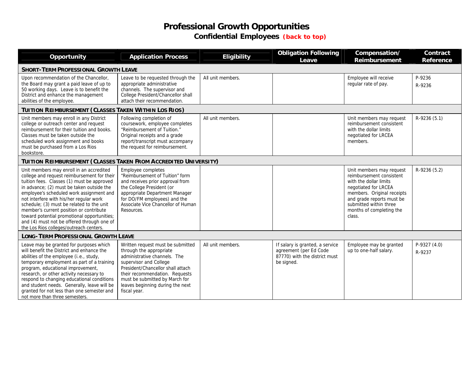#### **Professional Growth Opportunities Confidential Employees** *[\(back to top\)](#page-0-0)*

<span id="page-6-0"></span>

| Opportunity                                                                                                                                                                                                                                                                                                                                                                                                                                                                                               | <b>Application Process</b>                                                                                                                                                                                                                                                          | <b>Eligibility</b> | <b>Obligation Following</b><br>Leave                                                                     | Compensation/<br><b>Reimbursement</b>                                                                                                                                                                                             | Contract<br><b>Reference</b> |  |
|-----------------------------------------------------------------------------------------------------------------------------------------------------------------------------------------------------------------------------------------------------------------------------------------------------------------------------------------------------------------------------------------------------------------------------------------------------------------------------------------------------------|-------------------------------------------------------------------------------------------------------------------------------------------------------------------------------------------------------------------------------------------------------------------------------------|--------------------|----------------------------------------------------------------------------------------------------------|-----------------------------------------------------------------------------------------------------------------------------------------------------------------------------------------------------------------------------------|------------------------------|--|
| <b>SHORT-TERM PROFESSIONAL GROWTH LEAVE</b>                                                                                                                                                                                                                                                                                                                                                                                                                                                               |                                                                                                                                                                                                                                                                                     |                    |                                                                                                          |                                                                                                                                                                                                                                   |                              |  |
| Upon recommendation of the Chancellor,<br>the Board may grant a paid leave of up to<br>50 working days. Leave is to benefit the<br>District and enhance the management<br>abilities of the employee.                                                                                                                                                                                                                                                                                                      | Leave to be requested through the<br>appropriate administrative<br>channels. The supervisor and<br>College President/Chancellor shall<br>attach their recommendation.                                                                                                               | All unit members.  |                                                                                                          | Employee will receive<br>regular rate of pay.                                                                                                                                                                                     | P-9236<br>R-9236             |  |
| TUITION REIMBURSEMENT (CLASSES TAKEN WITHIN LOS RIOS)                                                                                                                                                                                                                                                                                                                                                                                                                                                     |                                                                                                                                                                                                                                                                                     |                    |                                                                                                          |                                                                                                                                                                                                                                   |                              |  |
| Unit members may enroll in any District<br>college or outreach center and request<br>reimbursement for their tuition and books.<br>Classes must be taken outside the<br>scheduled work assignment and books<br>must be purchased from a Los Rios<br>bookstore.                                                                                                                                                                                                                                            | Following completion of<br>coursework, employee completes<br>"Reimbursement of Tuition."<br>Original receipts and a grade<br>report/transcript must accompany<br>the request for reimbursement.                                                                                     | All unit members.  |                                                                                                          | Unit members may request<br>reimbursement consistent<br>with the dollar limits<br>negotiated for LRCEA<br>members.                                                                                                                | R-9236 (5.1)                 |  |
| TUITION REIMBURSEMENT (CLASSES TAKEN FROM ACCREDITED UNIVERSITY)                                                                                                                                                                                                                                                                                                                                                                                                                                          |                                                                                                                                                                                                                                                                                     |                    |                                                                                                          |                                                                                                                                                                                                                                   |                              |  |
| Unit members may enroll in an accredited<br>college and request reimbursement for their<br>tuition fees. Classes (1) must be approved<br>in advance; (2) must be taken outside the<br>employee's scheduled work assignment and<br>not interfere with his/her regular work<br>schedule; (3) must be related to the unit<br>member's current position or contribute<br>toward potential promotional opportunities;<br>and (4) must not be offered through one of<br>the Los Rios colleges/outreach centers. | Employee completes<br>"Reimbursement of Tuition" form<br>and receives prior approval from<br>the College President (or<br>appropriate Department Manager<br>for DO/FM employees) and the<br>Associate Vice Chancellor of Human<br>Resources.                                        |                    |                                                                                                          | Unit members may request<br>reimbursement consistent<br>with the dollar limits<br>negotiated for LRCEA<br>members. Original receipts<br>and grade reports must be<br>submitted within three<br>months of completing the<br>class. | R-9236 (5.2)                 |  |
| <b>LONG-TERM PROFESSIONAL GROWTH LEAVE</b>                                                                                                                                                                                                                                                                                                                                                                                                                                                                |                                                                                                                                                                                                                                                                                     |                    |                                                                                                          |                                                                                                                                                                                                                                   |                              |  |
| Leave may be granted for purposes which<br>will benefit the District and enhance the<br>abilities of the employee (i.e., study,<br>temporary employment as part of a training<br>program, educational improvement,<br>research, or other activity necessary to<br>respond to changing educational conditions<br>and student needs. Generally, leave will be<br>granted for not less than one semester and<br>not more than three semesters.                                                               | Written request must be submitted<br>through the appropriate<br>administrative channels. The<br>supervisor and College<br>President/Chancellor shall attach<br>their recommendation. Requests<br>must be submitted by March for<br>leaves beginning during the next<br>fiscal year. | All unit members.  | If salary is granted, a service<br>agreement (per Ed Code<br>87770) with the district must<br>be signed. | Employee may be granted<br>up to one-half salary.                                                                                                                                                                                 | P-9327 (4.0)<br>R-9237       |  |